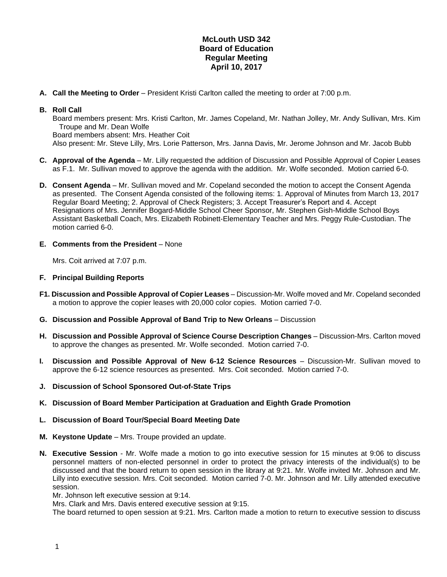## **McLouth USD 342 Board of Education Regular Meeting April 10, 2017**

**A. Call the Meeting to Order** – President Kristi Carlton called the meeting to order at 7:00 p.m.

## **B. Roll Call**

Board members present: Mrs. Kristi Carlton, Mr. James Copeland, Mr. Nathan Jolley, Mr. Andy Sullivan, Mrs. Kim Troupe and Mr. Dean Wolfe Board members absent: Mrs. Heather Coit

Also present: Mr. Steve Lilly, Mrs. Lorie Patterson, Mrs. Janna Davis, Mr. Jerome Johnson and Mr. Jacob Bubb

- **C. Approval of the Agenda** Mr. Lilly requested the addition of Discussion and Possible Approval of Copier Leases as F.1. Mr. Sullivan moved to approve the agenda with the addition. Mr. Wolfe seconded. Motion carried 6-0.
- **D. Consent Agenda** Mr. Sullivan moved and Mr. Copeland seconded the motion to accept the Consent Agenda as presented. The Consent Agenda consisted of the following items: 1. Approval of Minutes from March 13, 2017 Regular Board Meeting; 2. Approval of Check Registers; 3. Accept Treasurer's Report and 4. Accept Resignations of Mrs. Jennifer Bogard-Middle School Cheer Sponsor, Mr. Stephen Gish-Middle School Boys Assistant Basketball Coach, Mrs. Elizabeth Robinett-Elementary Teacher and Mrs. Peggy Rule-Custodian. The motion carried 6-0.
- **E. Comments from the President** None

Mrs. Coit arrived at 7:07 p.m.

## **F. Principal Building Reports**

- **F1. Discussion and Possible Approval of Copier Leases** Discussion-Mr. Wolfe moved and Mr. Copeland seconded a motion to approve the copier leases with 20,000 color copies. Motion carried 7-0.
- **G. Discussion and Possible Approval of Band Trip to New Orleans**  Discussion
- **H. Discussion and Possible Approval of Science Course Description Changes** Discussion-Mrs. Carlton moved to approve the changes as presented. Mr. Wolfe seconded. Motion carried 7-0.
- **I. Discussion and Possible Approval of New 6-12 Science Resources** Discussion-Mr. Sullivan moved to approve the 6-12 science resources as presented. Mrs. Coit seconded. Motion carried 7-0.
- **J. Discussion of School Sponsored Out-of-State Trips**
- **K. Discussion of Board Member Participation at Graduation and Eighth Grade Promotion**
- **L. Discussion of Board Tour/Special Board Meeting Date**
- **M. Keystone Update**  Mrs. Troupe provided an update.
- **N. Executive Session** Mr. Wolfe made a motion to go into executive session for 15 minutes at 9:06 to discuss personnel matters of non-elected personnel in order to protect the privacy interests of the individual(s) to be discussed and that the board return to open session in the library at 9:21. Mr. Wolfe invited Mr. Johnson and Mr. Lilly into executive session. Mrs. Coit seconded. Motion carried 7-0. Mr. Johnson and Mr. Lilly attended executive session.

Mr. Johnson left executive session at 9:14.

Mrs. Clark and Mrs. Davis entered executive session at 9:15.

The board returned to open session at 9:21. Mrs. Carlton made a motion to return to executive session to discuss